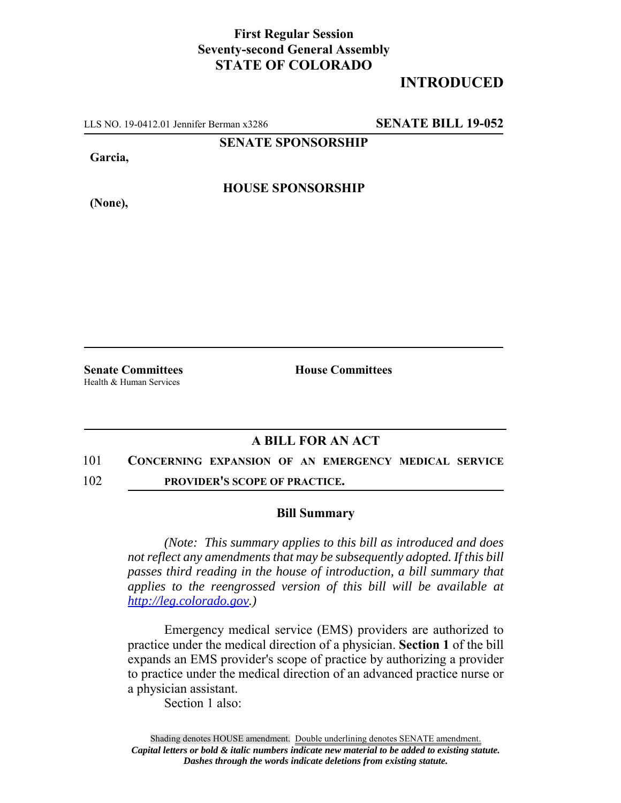### **First Regular Session Seventy-second General Assembly STATE OF COLORADO**

## **INTRODUCED**

LLS NO. 19-0412.01 Jennifer Berman x3286 **SENATE BILL 19-052**

**SENATE SPONSORSHIP**

**Garcia,**

**HOUSE SPONSORSHIP**

**(None),**

Health & Human Services

**Senate Committees House Committees** 

### **A BILL FOR AN ACT**

#### 101 **CONCERNING EXPANSION OF AN EMERGENCY MEDICAL SERVICE**

102 **PROVIDER'S SCOPE OF PRACTICE.**

#### **Bill Summary**

*(Note: This summary applies to this bill as introduced and does not reflect any amendments that may be subsequently adopted. If this bill passes third reading in the house of introduction, a bill summary that applies to the reengrossed version of this bill will be available at http://leg.colorado.gov.)*

Emergency medical service (EMS) providers are authorized to practice under the medical direction of a physician. **Section 1** of the bill expands an EMS provider's scope of practice by authorizing a provider to practice under the medical direction of an advanced practice nurse or a physician assistant.

Section 1 also: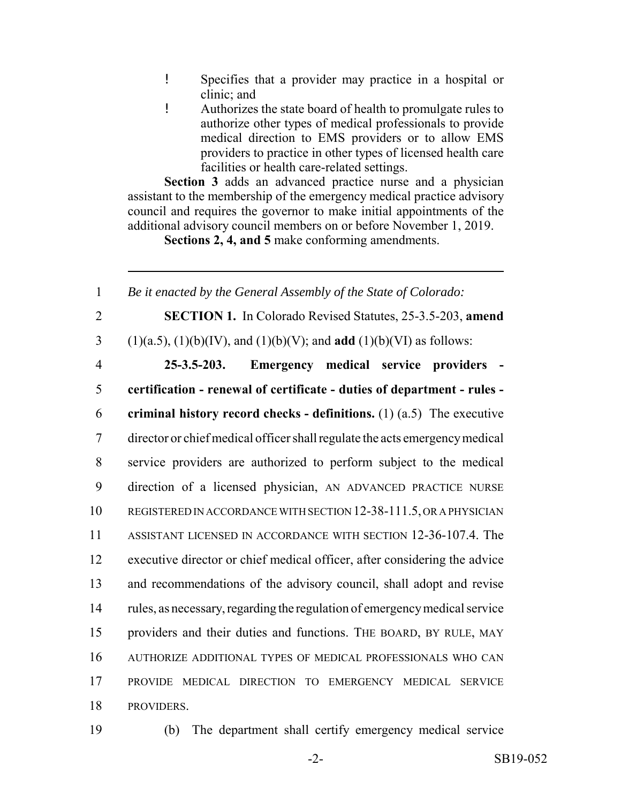- ! Specifies that a provider may practice in a hospital or clinic; and
- ! Authorizes the state board of health to promulgate rules to authorize other types of medical professionals to provide medical direction to EMS providers or to allow EMS providers to practice in other types of licensed health care facilities or health care-related settings.

**Section 3** adds an advanced practice nurse and a physician assistant to the membership of the emergency medical practice advisory council and requires the governor to make initial appointments of the additional advisory council members on or before November 1, 2019.

**Sections 2, 4, and 5** make conforming amendments.

 *Be it enacted by the General Assembly of the State of Colorado:* **SECTION 1.** In Colorado Revised Statutes, 25-3.5-203, **amend** (1)(a.5), (1)(b)(IV), and (1)(b)(V); and **add** (1)(b)(VI) as follows: **25-3.5-203. Emergency medical service providers - certification - renewal of certificate - duties of department - rules - criminal history record checks - definitions.** (1) (a.5) The executive director or chief medical officer shall regulate the acts emergency medical service providers are authorized to perform subject to the medical direction of a licensed physician, AN ADVANCED PRACTICE NURSE 10 REGISTERED IN ACCORDANCE WITH SECTION 12-38-111.5, OR A PHYSICIAN ASSISTANT LICENSED IN ACCORDANCE WITH SECTION 12-36-107.4. The executive director or chief medical officer, after considering the advice and recommendations of the advisory council, shall adopt and revise rules, as necessary, regarding the regulation of emergency medical service providers and their duties and functions. THE BOARD, BY RULE, MAY AUTHORIZE ADDITIONAL TYPES OF MEDICAL PROFESSIONALS WHO CAN PROVIDE MEDICAL DIRECTION TO EMERGENCY MEDICAL SERVICE PROVIDERS.

19 (b) The department shall certify emergency medical service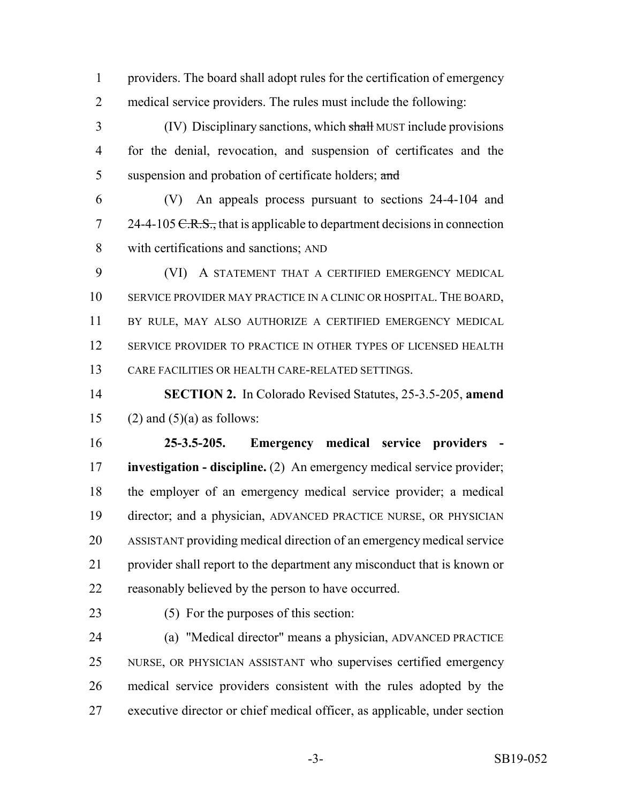providers. The board shall adopt rules for the certification of emergency medical service providers. The rules must include the following:

 (IV) Disciplinary sanctions, which shall MUST include provisions for the denial, revocation, and suspension of certificates and the 5 suspension and probation of certificate holders; and

 (V) An appeals process pursuant to sections 24-4-104 and 24-4-105 <del>C.R.S.,</del> that is applicable to department decisions in connection with certifications and sanctions; AND

 (VI) A STATEMENT THAT A CERTIFIED EMERGENCY MEDICAL SERVICE PROVIDER MAY PRACTICE IN A CLINIC OR HOSPITAL. THE BOARD, BY RULE, MAY ALSO AUTHORIZE A CERTIFIED EMERGENCY MEDICAL SERVICE PROVIDER TO PRACTICE IN OTHER TYPES OF LICENSED HEALTH CARE FACILITIES OR HEALTH CARE-RELATED SETTINGS.

 **SECTION 2.** In Colorado Revised Statutes, 25-3.5-205, **amend** 15 (2) and  $(5)(a)$  as follows:

 **25-3.5-205. Emergency medical service providers - investigation - discipline.** (2) An emergency medical service provider; the employer of an emergency medical service provider; a medical director; and a physician, ADVANCED PRACTICE NURSE, OR PHYSICIAN ASSISTANT providing medical direction of an emergency medical service provider shall report to the department any misconduct that is known or reasonably believed by the person to have occurred.

(5) For the purposes of this section:

 (a) "Medical director" means a physician, ADVANCED PRACTICE NURSE, OR PHYSICIAN ASSISTANT who supervises certified emergency medical service providers consistent with the rules adopted by the executive director or chief medical officer, as applicable, under section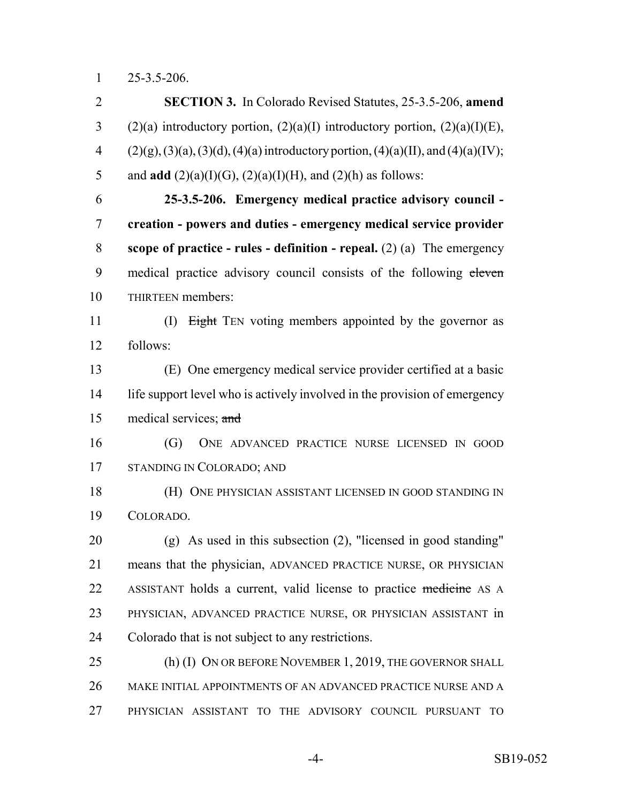25-3.5-206.

 **SECTION 3.** In Colorado Revised Statutes, 25-3.5-206, **amend** 3 (2)(a) introductory portion, (2)(a)(I) introductory portion, (2)(a)(I)(E), 4 (2)(g), (3)(a), (3)(d), (4)(a) introductory portion, (4)(a)(II), and (4)(a)(IV); 5 and **add**  $(2)(a)(I)(G)$ ,  $(2)(a)(I)(H)$ , and  $(2)(h)$  as follows: **25-3.5-206. Emergency medical practice advisory council - creation - powers and duties - emergency medical service provider scope of practice - rules - definition - repeal.** (2) (a) The emergency 9 medical practice advisory council consists of the following eleven THIRTEEN members: 11 (I) Eight TEN voting members appointed by the governor as follows: (E) One emergency medical service provider certified at a basic life support level who is actively involved in the provision of emergency 15 medical services; and (G) ONE ADVANCED PRACTICE NURSE LICENSED IN GOOD STANDING IN COLORADO; AND (H) ONE PHYSICIAN ASSISTANT LICENSED IN GOOD STANDING IN COLORADO. (g) As used in this subsection (2), "licensed in good standing" means that the physician, ADVANCED PRACTICE NURSE, OR PHYSICIAN 22 ASSISTANT holds a current, valid license to practice medicine AS A PHYSICIAN, ADVANCED PRACTICE NURSE, OR PHYSICIAN ASSISTANT in Colorado that is not subject to any restrictions. 25 (h) (I) ON OR BEFORE NOVEMBER 1, 2019, THE GOVERNOR SHALL MAKE INITIAL APPOINTMENTS OF AN ADVANCED PRACTICE NURSE AND A PHYSICIAN ASSISTANT TO THE ADVISORY COUNCIL PURSUANT TO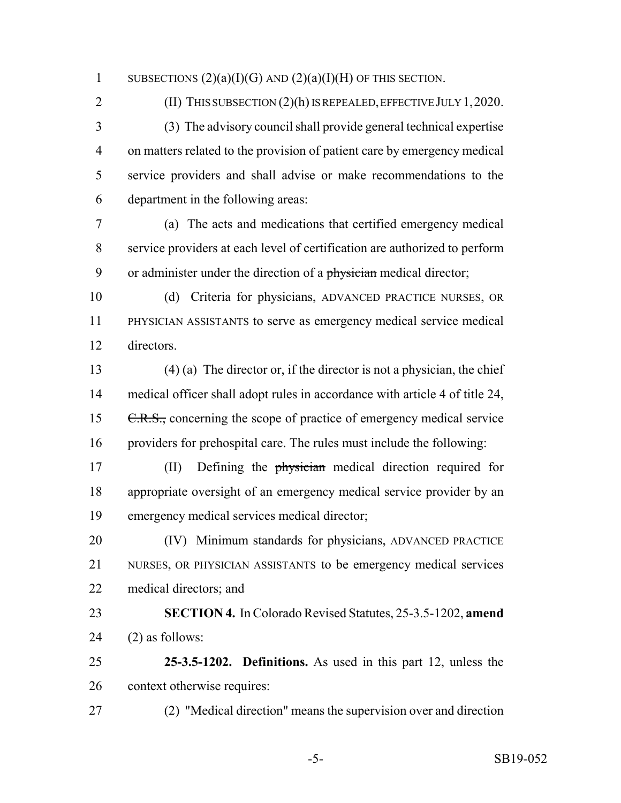1 SUBSECTIONS  $(2)(a)(I)(G)$  AND  $(2)(a)(I)(H)$  OF THIS SECTION.

# 2 (II) THIS SUBSECTION (2)(h) IS REPEALED, EFFECTIVE JULY 1, 2020.

 (3) The advisory council shall provide general technical expertise on matters related to the provision of patient care by emergency medical service providers and shall advise or make recommendations to the department in the following areas:

 (a) The acts and medications that certified emergency medical service providers at each level of certification are authorized to perform 9 or administer under the direction of a physician medical director;

 (d) Criteria for physicians, ADVANCED PRACTICE NURSES, OR PHYSICIAN ASSISTANTS to serve as emergency medical service medical directors.

 (4) (a) The director or, if the director is not a physician, the chief medical officer shall adopt rules in accordance with article 4 of title 24, 15 C.R.S., concerning the scope of practice of emergency medical service providers for prehospital care. The rules must include the following:

17 (II) Defining the physician medical direction required for appropriate oversight of an emergency medical service provider by an emergency medical services medical director;

 (IV) Minimum standards for physicians, ADVANCED PRACTICE NURSES, OR PHYSICIAN ASSISTANTS to be emergency medical services medical directors; and

 **SECTION 4.** In Colorado Revised Statutes, 25-3.5-1202, **amend** (2) as follows:

 **25-3.5-1202. Definitions.** As used in this part 12, unless the context otherwise requires:

(2) "Medical direction" means the supervision over and direction